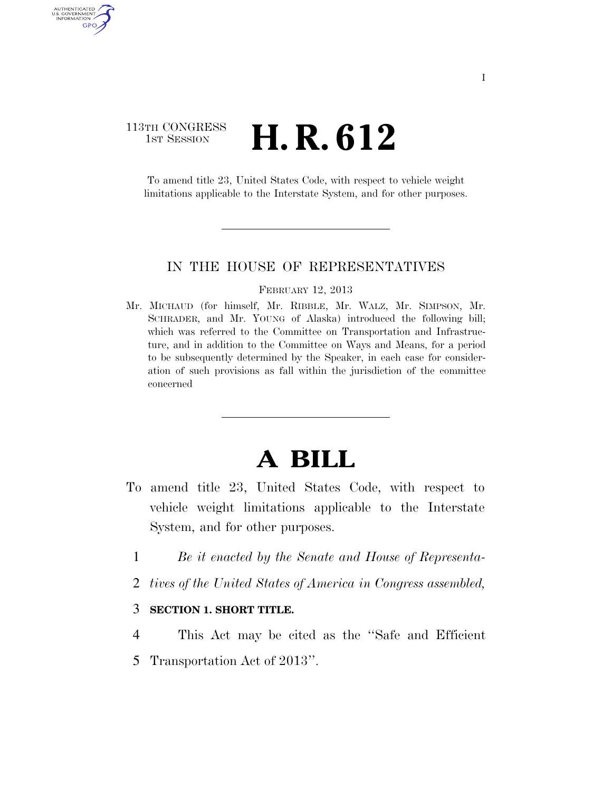### 113TH CONGRESS  $\frac{1}{1}$ ST SESSION **H. R. 612**

AUTHENTICATED U.S. GOVERNMENT GPO

> To amend title 23, United States Code, with respect to vehicle weight limitations applicable to the Interstate System, and for other purposes.

#### IN THE HOUSE OF REPRESENTATIVES

#### FEBRUARY 12, 2013

Mr. MICHAUD (for himself, Mr. RIBBLE, Mr. WALZ, Mr. SIMPSON, Mr. SCHRADER, and Mr. YOUNG of Alaska) introduced the following bill; which was referred to the Committee on Transportation and Infrastructure, and in addition to the Committee on Ways and Means, for a period to be subsequently determined by the Speaker, in each case for consideration of such provisions as fall within the jurisdiction of the committee concerned

## **A BILL**

- To amend title 23, United States Code, with respect to vehicle weight limitations applicable to the Interstate System, and for other purposes.
	- 1 *Be it enacted by the Senate and House of Representa-*
	- 2 *tives of the United States of America in Congress assembled,*

#### 3 **SECTION 1. SHORT TITLE.**

4 This Act may be cited as the ''Safe and Efficient 5 Transportation Act of 2013''.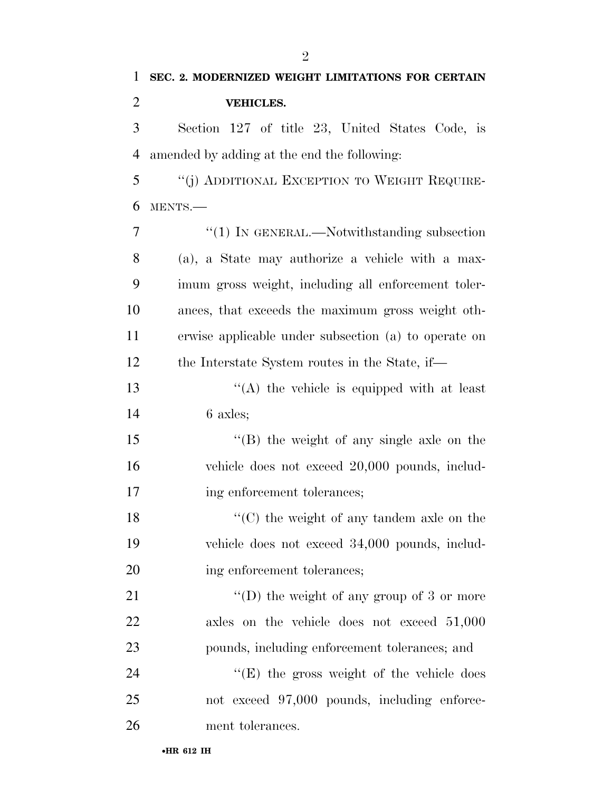| 1      | SEC. 2. MODERNIZED WEIGHT LIMITATIONS FOR CERTAIN                                                                                                                                                                                                                                                                                                      |
|--------|--------------------------------------------------------------------------------------------------------------------------------------------------------------------------------------------------------------------------------------------------------------------------------------------------------------------------------------------------------|
| 2      | <b>VEHICLES.</b>                                                                                                                                                                                                                                                                                                                                       |
| 3      | Section 127 of title 23, United States Code, is                                                                                                                                                                                                                                                                                                        |
| 4      | amended by adding at the end the following:                                                                                                                                                                                                                                                                                                            |
| 5      | "(j) ADDITIONAL EXCEPTION TO WEIGHT REQUIRE-                                                                                                                                                                                                                                                                                                           |
| 6      | MENTS.-                                                                                                                                                                                                                                                                                                                                                |
| 7      | $\lq(1)$ In GENERAL.—Notwithstanding subsection                                                                                                                                                                                                                                                                                                        |
| 8      | (a), a State may authorize a vehicle with a max-                                                                                                                                                                                                                                                                                                       |
| 9      | imum gross weight, including all enforcement toler-                                                                                                                                                                                                                                                                                                    |
| 10     | ances, that exceeds the maximum gross weight oth-                                                                                                                                                                                                                                                                                                      |
| 11     | erwise applicable under subsection (a) to operate on                                                                                                                                                                                                                                                                                                   |
| 12     | the Interstate System routes in the State, if—                                                                                                                                                                                                                                                                                                         |
| $\sim$ | $\mathcal{L}(\mathcal{L}(\mathbf{A})\mathbf{A}^T\mathbf{A}^T\mathbf{A}^T\mathbf{A}^T\mathbf{A}^T\mathbf{A}^T\mathbf{A}^T\mathbf{A}^T\mathbf{A}^T\mathbf{A}^T\mathbf{A}^T\mathbf{A}^T\mathbf{A}^T\mathbf{A}^T\mathbf{A}^T\mathbf{A}^T\mathbf{A}^T\mathbf{A}^T\mathbf{A}^T\mathbf{A}^T\mathbf{A}^T\mathbf{A}^T\mathbf{A}^T\mathbf{A}^T\mathbf{A}^T\math$ |

13  $\langle (A)$  the vehicle is equipped with at least 6 axles;

 ''(B) the weight of any single axle on the vehicle does not exceed 20,000 pounds, includ-17 ing enforcement tolerances;

 ''(C) the weight of any tandem axle on the vehicle does not exceed 34,000 pounds, includ-20 ing enforcement tolerances;

21 ''(D) the weight of any group of 3 or more axles on the vehicle does not exceed 51,000 pounds, including enforcement tolerances; and

24 ''(E) the gross weight of the vehicle does not exceed 97,000 pounds, including enforce-ment tolerances.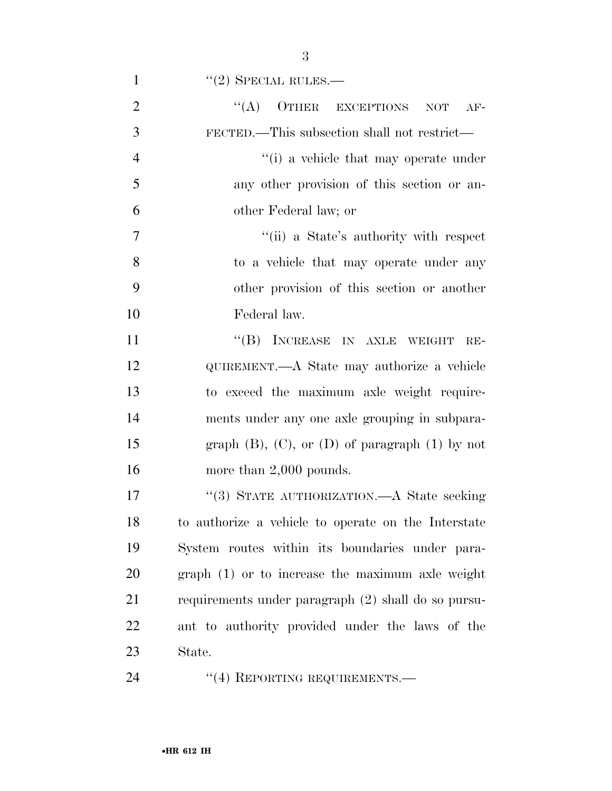| $\mathbf{1}$   | $"(2)$ SPECIAL RULES.—                                   |
|----------------|----------------------------------------------------------|
| $\overline{2}$ | $\lq\lq (A)$ OTHER EXCEPTIONS<br><b>NOT</b><br>$AF-$     |
| 3              | FECTED.—This subsection shall not restrict—              |
| $\overline{4}$ | "(i) a vehicle that may operate under                    |
| 5              | any other provision of this section or an-               |
| 6              | other Federal law; or                                    |
| $\overline{7}$ | "(ii) a State's authority with respect                   |
| 8              | to a vehicle that may operate under any                  |
| 9              | other provision of this section or another               |
| 10             | Federal law.                                             |
| 11             | "(B) INCREASE IN AXLE WEIGHT<br>$RE-$                    |
| 12             | QUIREMENT.—A State may authorize a vehicle               |
| 13             | to exceed the maximum axle weight require-               |
| 14             | ments under any one axle grouping in subpara-            |
| 15             | graph $(B)$ , $(C)$ , or $(D)$ of paragraph $(1)$ by not |
| 16             | more than $2,000$ pounds.                                |
| 17             | "(3) STATE AUTHORIZATION.—A State seeking                |
| 18             | to authorize a vehicle to operate on the Interstate      |
| 19             | System routes within its boundaries under para-          |
| 20             | graph (1) or to increase the maximum axle weight         |
| 21             | requirements under paragraph (2) shall do so pursu-      |
| 22             | ant to authority provided under the laws of the          |
| 23             | State.                                                   |
| 24             | "(4) REPORTING REQUIREMENTS.—                            |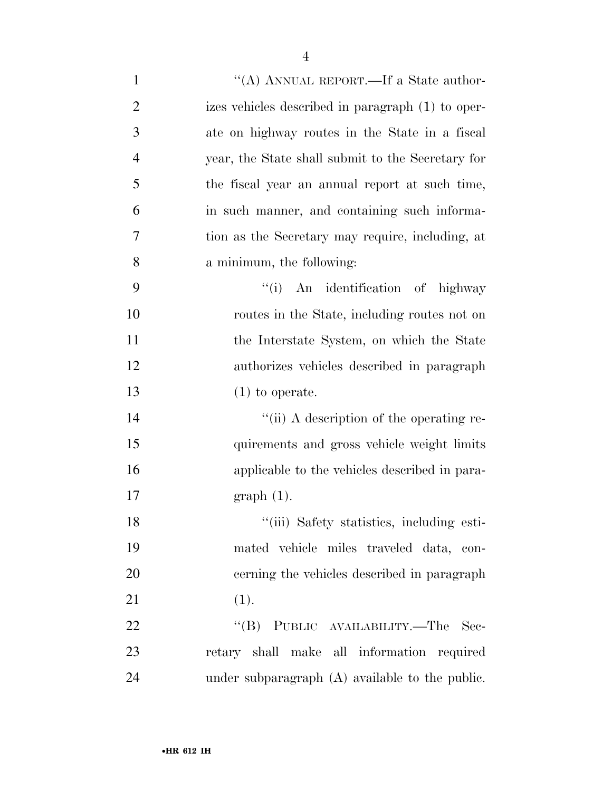| $\mathbf{1}$   | "(A) ANNUAL REPORT.—If a State author-            |
|----------------|---------------------------------------------------|
| $\overline{2}$ | izes vehicles described in paragraph (1) to oper- |
| 3              | ate on highway routes in the State in a fiscal    |
| $\overline{4}$ | year, the State shall submit to the Secretary for |
| 5              | the fiscal year an annual report at such time,    |
| 6              | in such manner, and containing such informa-      |
| 7              | tion as the Secretary may require, including, at  |
| 8              | a minimum, the following:                         |
| 9              | "(i) An identification of highway                 |
| 10             | routes in the State, including routes not on      |
| 11             | the Interstate System, on which the State         |
| 12             | authorizes vehicles described in paragraph        |
| 13             | $(1)$ to operate.                                 |
| 14             | "(ii) A description of the operating re-          |
| 15             | quirements and gross vehicle weight limits        |
| 16             | applicable to the vehicles described in para-     |
| 17             | $graph(1)$ .                                      |
| 18             | "(iii) Safety statistics, including esti-         |
| 19             | mated vehicle miles traveled data, con-           |
| 20             | cerning the vehicles described in paragraph       |
| 21             | (1).                                              |
| 22             | "(B) PUBLIC AVAILABILITY.—The Sec-                |
| 23             | retary shall make all information required        |
| 24             | under subparagraph (A) available to the public.   |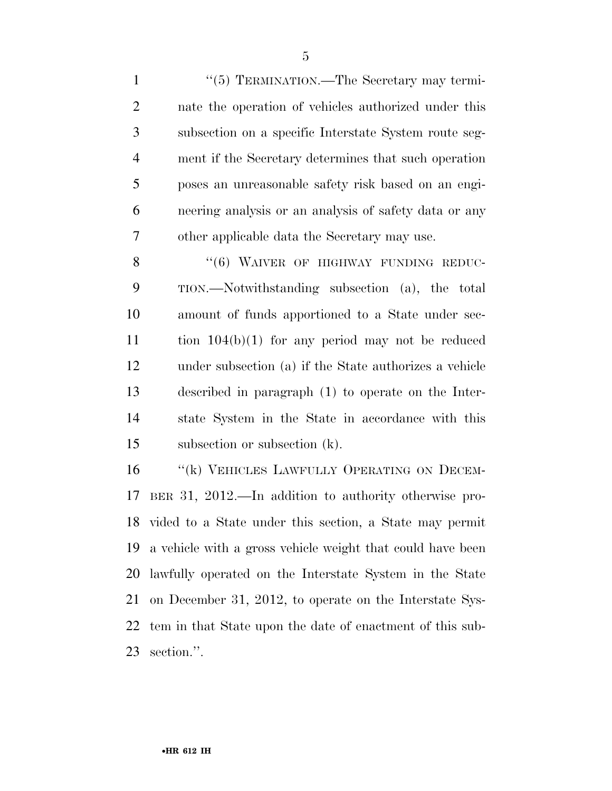1 "(5) TERMINATION.—The Secretary may termi- nate the operation of vehicles authorized under this subsection on a specific Interstate System route seg- ment if the Secretary determines that such operation poses an unreasonable safety risk based on an engi- neering analysis or an analysis of safety data or any other applicable data the Secretary may use.

8 "(6) WAIVER OF HIGHWAY FUNDING REDUC- TION.—Notwithstanding subsection (a), the total amount of funds apportioned to a State under sec- tion 104(b)(1) for any period may not be reduced under subsection (a) if the State authorizes a vehicle described in paragraph (1) to operate on the Inter- state System in the State in accordance with this subsection or subsection (k).

16 "(k) VEHICLES LAWFULLY OPERATING ON DECEM- BER 31, 2012.—In addition to authority otherwise pro- vided to a State under this section, a State may permit a vehicle with a gross vehicle weight that could have been lawfully operated on the Interstate System in the State on December 31, 2012, to operate on the Interstate Sys- tem in that State upon the date of enactment of this sub-section.''.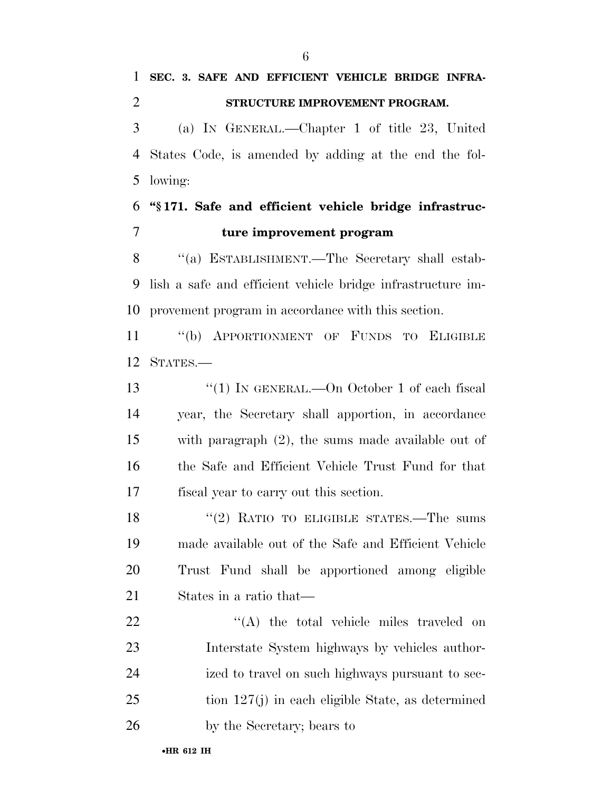**SEC. 3. SAFE AND EFFICIENT VEHICLE BRIDGE INFRA-**

 **STRUCTURE IMPROVEMENT PROGRAM.**  (a) IN GENERAL.—Chapter 1 of title 23, United States Code, is amended by adding at the end the fol- lowing: **''§ 171. Safe and efficient vehicle bridge infrastruc-**

# **ture improvement program**

 ''(a) ESTABLISHMENT.—The Secretary shall estab- lish a safe and efficient vehicle bridge infrastructure im-provement program in accordance with this section.

 ''(b) APPORTIONMENT OF FUNDS TO ELIGIBLE STATES.—

13 "(1) IN GENERAL.—On October 1 of each fiscal year, the Secretary shall apportion, in accordance with paragraph (2), the sums made available out of the Safe and Efficient Vehicle Trust Fund for that fiscal year to carry out this section.

18 "(2) RATIO TO ELIGIBLE STATES.—The sums made available out of the Safe and Efficient Vehicle Trust Fund shall be apportioned among eligible States in a ratio that—

22 ''(A) the total vehicle miles traveled on Interstate System highways by vehicles author- ized to travel on such highways pursuant to sec- tion 127(j) in each eligible State, as determined by the Secretary; bears to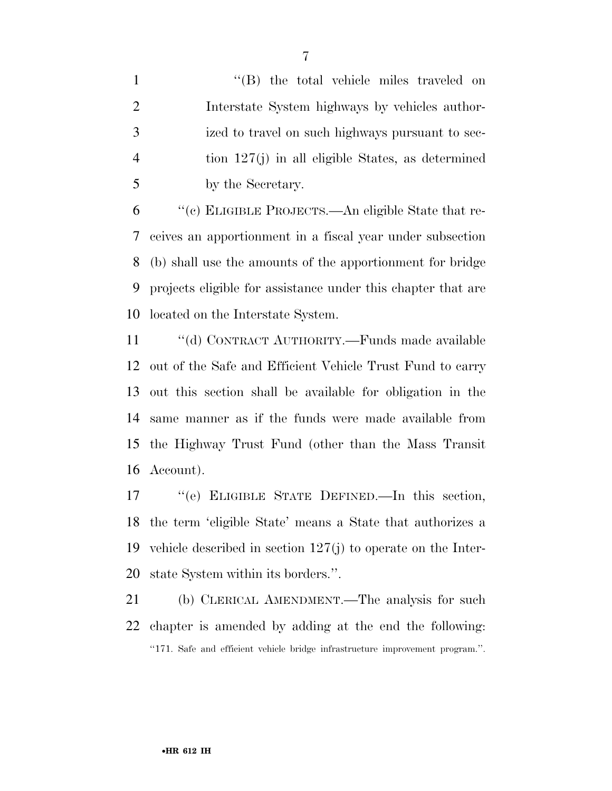1 ''(B) the total vehicle miles traveled on Interstate System highways by vehicles author- ized to travel on such highways pursuant to sec- tion 127(j) in all eligible States, as determined by the Secretary.

 ''(c) ELIGIBLE PROJECTS.—An eligible State that re- ceives an apportionment in a fiscal year under subsection (b) shall use the amounts of the apportionment for bridge projects eligible for assistance under this chapter that are located on the Interstate System.

 ''(d) CONTRACT AUTHORITY.—Funds made available out of the Safe and Efficient Vehicle Trust Fund to carry out this section shall be available for obligation in the same manner as if the funds were made available from the Highway Trust Fund (other than the Mass Transit Account).

 ''(e) ELIGIBLE STATE DEFINED.—In this section, the term 'eligible State' means a State that authorizes a vehicle described in section 127(j) to operate on the Inter-state System within its borders.''.

 (b) CLERICAL AMENDMENT.—The analysis for such chapter is amended by adding at the end the following: ''171. Safe and efficient vehicle bridge infrastructure improvement program.''.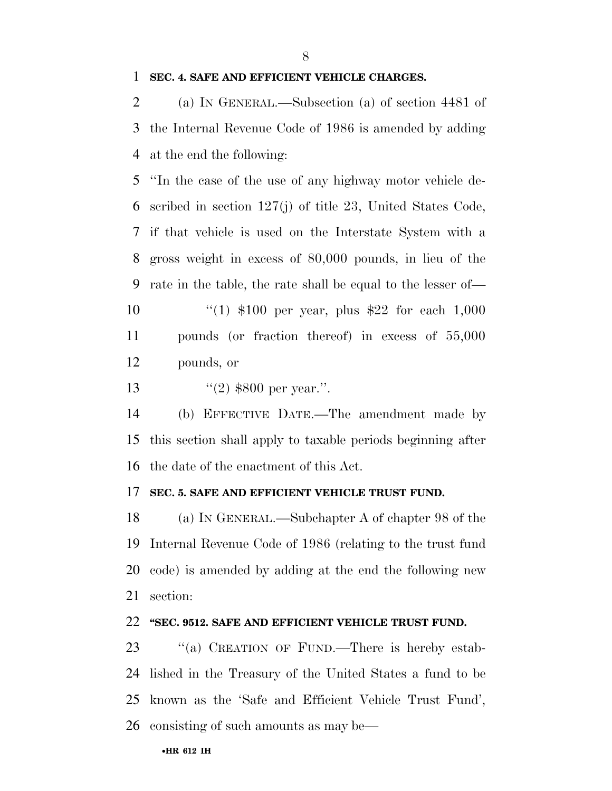#### **SEC. 4. SAFE AND EFFICIENT VEHICLE CHARGES.**

 (a) IN GENERAL.—Subsection (a) of section 4481 of the Internal Revenue Code of 1986 is amended by adding at the end the following:

 ''In the case of the use of any highway motor vehicle de- scribed in section 127(j) of title 23, United States Code, if that vehicle is used on the Interstate System with a gross weight in excess of 80,000 pounds, in lieu of the rate in the table, the rate shall be equal to the lesser of— ''(1) \$100 per year, plus \$22 for each 1,000 pounds (or fraction thereof) in excess of 55,000

pounds, or

13  $\frac{13}{2}$   $\frac{13}{2}$  \$800 per year.".

 (b) EFFECTIVE DATE.—The amendment made by this section shall apply to taxable periods beginning after the date of the enactment of this Act.

#### **SEC. 5. SAFE AND EFFICIENT VEHICLE TRUST FUND.**

 (a) IN GENERAL.—Subchapter A of chapter 98 of the Internal Revenue Code of 1986 (relating to the trust fund code) is amended by adding at the end the following new section:

#### **''SEC. 9512. SAFE AND EFFICIENT VEHICLE TRUST FUND.**

23 "(a) CREATION OF FUND.—There is hereby estab- lished in the Treasury of the United States a fund to be known as the 'Safe and Efficient Vehicle Trust Fund', consisting of such amounts as may be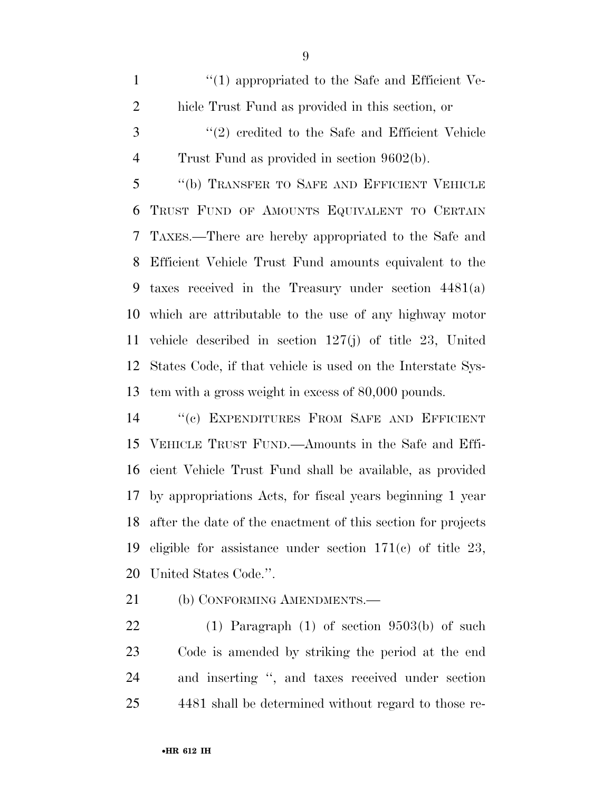1  $\frac{1}{2}$  (1) appropriated to the Safe and Efficient Ve- hicle Trust Fund as provided in this section, or ''(2) credited to the Safe and Efficient Vehicle

Trust Fund as provided in section 9602(b).

 ''(b) TRANSFER TO SAFE AND EFFICIENT VEHICLE TRUST FUND OF AMOUNTS EQUIVALENT TO CERTAIN TAXES.—There are hereby appropriated to the Safe and Efficient Vehicle Trust Fund amounts equivalent to the taxes received in the Treasury under section 4481(a) which are attributable to the use of any highway motor vehicle described in section 127(j) of title 23, United States Code, if that vehicle is used on the Interstate Sys-tem with a gross weight in excess of 80,000 pounds.

 ''(c) EXPENDITURES FROM SAFE AND EFFICIENT VEHICLE TRUST FUND.—Amounts in the Safe and Effi- cient Vehicle Trust Fund shall be available, as provided by appropriations Acts, for fiscal years beginning 1 year after the date of the enactment of this section for projects eligible for assistance under section 171(c) of title 23, United States Code.''.

21 (b) CONFORMING AMENDMENTS.—

 (1) Paragraph (1) of section 9503(b) of such Code is amended by striking the period at the end and inserting '', and taxes received under section 4481 shall be determined without regard to those re